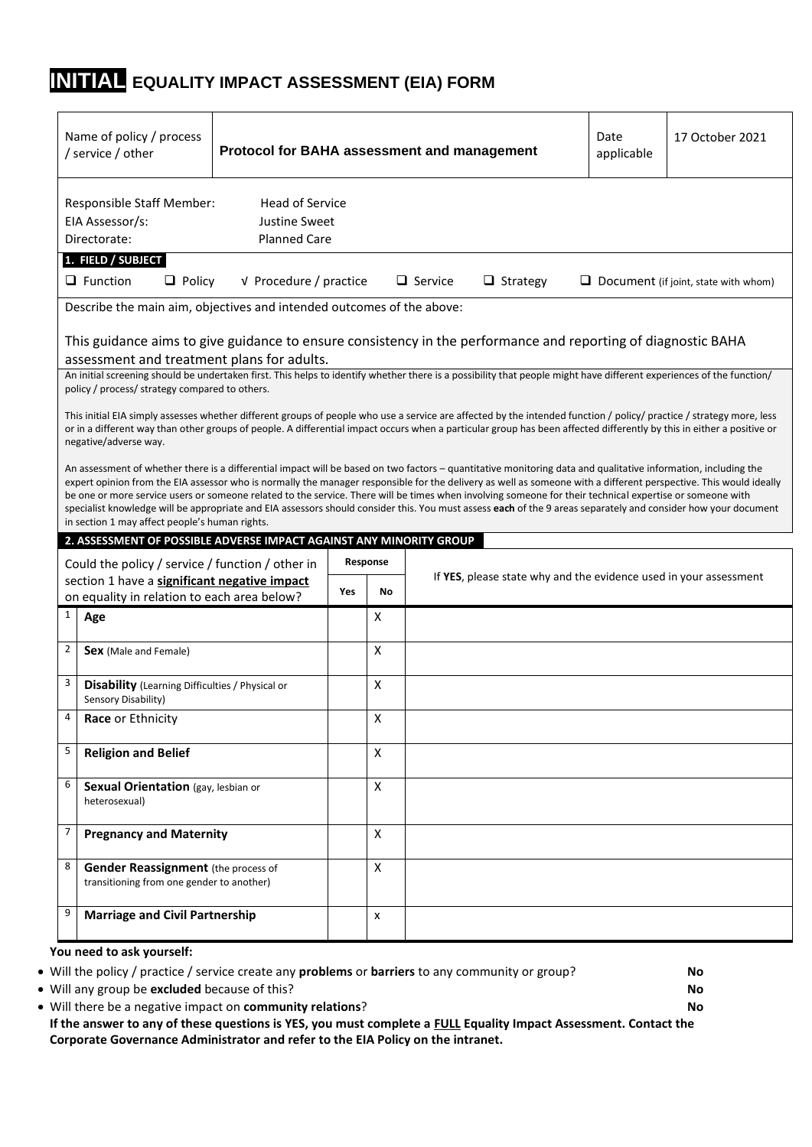## **INITIAL EQUALITY IMPACT ASSESSMENT (EIA) FORM**

|              | Name of policy / process<br>/ service / other                                               |                                                                |     |          | Protocol for BAHA assessment and management                                                                                                                                                                                                                                                                                                                                                                                                                                                     | Date<br>applicable | 17 October 2021                             |
|--------------|---------------------------------------------------------------------------------------------|----------------------------------------------------------------|-----|----------|-------------------------------------------------------------------------------------------------------------------------------------------------------------------------------------------------------------------------------------------------------------------------------------------------------------------------------------------------------------------------------------------------------------------------------------------------------------------------------------------------|--------------------|---------------------------------------------|
|              | <b>Responsible Staff Member:</b><br>EIA Assessor/s:<br>Directorate:                         | <b>Head of Service</b><br>Justine Sweet<br><b>Planned Care</b> |     |          |                                                                                                                                                                                                                                                                                                                                                                                                                                                                                                 |                    |                                             |
|              | 1. FIELD / SUBJECT<br>$\Box$ Function<br>$\Box$ Policy                                      | V Procedure / practice                                         |     |          | $\Box$ Strategy<br>$\Box$ Service                                                                                                                                                                                                                                                                                                                                                                                                                                                               |                    | $\Box$ Document (if joint, state with whom) |
|              | Describe the main aim, objectives and intended outcomes of the above:                       |                                                                |     |          |                                                                                                                                                                                                                                                                                                                                                                                                                                                                                                 |                    |                                             |
|              | assessment and treatment plans for adults.                                                  |                                                                |     |          | This guidance aims to give guidance to ensure consistency in the performance and reporting of diagnostic BAHA                                                                                                                                                                                                                                                                                                                                                                                   |                    |                                             |
|              | policy / process/ strategy compared to others.                                              |                                                                |     |          | An initial screening should be undertaken first. This helps to identify whether there is a possibility that people might have different experiences of the function/                                                                                                                                                                                                                                                                                                                            |                    |                                             |
|              | negative/adverse way.                                                                       |                                                                |     |          | This initial EIA simply assesses whether different groups of people who use a service are affected by the intended function / policy/ practice / strategy more, less<br>or in a different way than other groups of people. A differential impact occurs when a particular group has been affected differently by this in either a positive or                                                                                                                                                   |                    |                                             |
|              |                                                                                             |                                                                |     |          | An assessment of whether there is a differential impact will be based on two factors - quantitative monitoring data and qualitative information, including the<br>expert opinion from the EIA assessor who is normally the manager responsible for the delivery as well as someone with a different perspective. This would ideally<br>be one or more service users or someone related to the service. There will be times when involving someone for their technical expertise or someone with |                    |                                             |
|              | in section 1 may affect people's human rights.                                              |                                                                |     |          | specialist knowledge will be appropriate and EIA assessors should consider this. You must assess each of the 9 areas separately and consider how your document                                                                                                                                                                                                                                                                                                                                  |                    |                                             |
|              | 2. ASSESSMENT OF POSSIBLE ADVERSE IMPACT AGAINST ANY MINORITY GROUP                         |                                                                |     |          |                                                                                                                                                                                                                                                                                                                                                                                                                                                                                                 |                    |                                             |
|              | Could the policy / service / function / other in                                            |                                                                |     | Response |                                                                                                                                                                                                                                                                                                                                                                                                                                                                                                 |                    |                                             |
|              | section 1 have a significant negative impact<br>on equality in relation to each area below? |                                                                | Yes | No       | If YES, please state why and the evidence used in your assessment                                                                                                                                                                                                                                                                                                                                                                                                                               |                    |                                             |
| $\mathbf{1}$ | Age                                                                                         |                                                                |     | X        |                                                                                                                                                                                                                                                                                                                                                                                                                                                                                                 |                    |                                             |
| 2            | Sex (Male and Female)                                                                       |                                                                |     | x        |                                                                                                                                                                                                                                                                                                                                                                                                                                                                                                 |                    |                                             |
| 3            | Disability (Learning Difficulties / Physical or<br>Sensory Disability)                      |                                                                |     | X        |                                                                                                                                                                                                                                                                                                                                                                                                                                                                                                 |                    |                                             |
| 4            | Race or Ethnicity                                                                           |                                                                |     | X        |                                                                                                                                                                                                                                                                                                                                                                                                                                                                                                 |                    |                                             |
| 5            | <b>Religion and Belief</b>                                                                  |                                                                |     | x        |                                                                                                                                                                                                                                                                                                                                                                                                                                                                                                 |                    |                                             |
| 6            | Sexual Orientation (gay, lesbian or<br>heterosexual)                                        |                                                                |     | X        |                                                                                                                                                                                                                                                                                                                                                                                                                                                                                                 |                    |                                             |
| 7            | <b>Pregnancy and Maternity</b>                                                              |                                                                |     | X        |                                                                                                                                                                                                                                                                                                                                                                                                                                                                                                 |                    |                                             |
| 8            | <b>Gender Reassignment</b> (the process of<br>transitioning from one gender to another)     |                                                                |     | X        |                                                                                                                                                                                                                                                                                                                                                                                                                                                                                                 |                    |                                             |

• Will the policy / practice / service create any **problems** or **barriers** to any community or group? **No**

• Will any group be **excluded** because of this? **No**

• Will there be a negative impact on **community relations**? **No If the answer to any of these questions is YES, you must complete a FULL Equality Impact Assessment. Contact the Corporate Governance Administrator and refer to the EIA Policy on the intranet.**